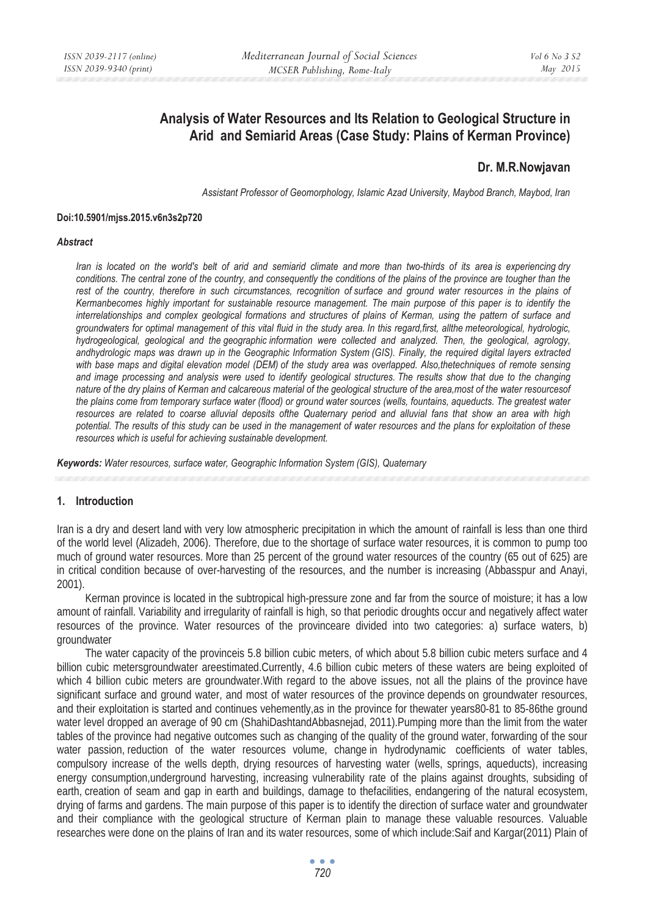# **Analysis of Water Resources and Its Relation to Geological Structure in Arid and Semiarid Areas (Case Study: Plains of Kerman Province)**

# **Dr. M.R.Nowjavan**

*Assistant Professor of Geomorphology, Islamic Azad University, Maybod Branch, Maybod, Iran*

#### **Doi:10.5901/mjss.2015.v6n3s2p720**

#### *Abstract*

*Iran is located on the world's belt of arid and semiarid climate and more than two-thirds of its area is experiencing dry conditions. The central zone of the country, and consequently the conditions of the plains of the province are tougher than the* rest of the country, therefore in such circumstances, recognition of surface and ground water resources in the plains of *Kermanbecomes highly important for sustainable resource management. The main purpose of this paper is to identify the interrelationships and complex geological formations and structures of plains of Kerman, using the pattern of surface and groundwaters for optimal management of this vital fluid in the study area. In this regard,first, allthe meteorological, hydrologic, hydrogeological, geological and the geographic information were collected and analyzed. Then, the geological, agrology, andhydrologic maps was drawn up in the Geographic Information System (GIS). Finally, the required digital layers extracted with base maps and digital elevation model (DEM) of the study area was overlapped. Also,thetechniques of remote sensing and image processing and analysis were used to identify geological structures. The results show that due to the changing nature of the dry plains of Kerman and calcareous material of the geological structure of the area,most of the water resourcesof the plains come from temporary surface water (flood) or ground water sources (wells, fountains, aqueducts. The greatest water resources are related to coarse alluvial deposits ofthe Quaternary period and alluvial fans that show an area with high potential. The results of this study can be used in the management of water resources and the plans for exploitation of these resources which is useful for achieving sustainable development.* 

*Keywords: Water resources, surface water, Geographic Information System (GIS), Quaternary*

### **1. Introduction**

Iran is a dry and desert land with very low atmospheric precipitation in which the amount of rainfall is less than one third of the world level (Alizadeh, 2006). Therefore, due to the shortage of surface water resources, it is common to pump too much of ground water resources. More than 25 percent of the ground water resources of the country (65 out of 625) are in critical condition because of over-harvesting of the resources, and the number is increasing (Abbasspur and Anayi, 2001).

Kerman province is located in the subtropical high-pressure zone and far from the source of moisture; it has a low amount of rainfall. Variability and irregularity of rainfall is high, so that periodic droughts occur and negatively affect water resources of the province. Water resources of the provinceare divided into two categories: a) surface waters, b) groundwater

The water capacity of the provinceis 5.8 billion cubic meters, of which about 5.8 billion cubic meters surface and 4 billion cubic metersgroundwater areestimated.Currently, 4.6 billion cubic meters of these waters are being exploited of which 4 billion cubic meters are groundwater.With regard to the above issues, not all the plains of the province have significant surface and ground water, and most of water resources of the province depends on groundwater resources, and their exploitation is started and continues vehemently,as in the province for thewater years80-81 to 85-86the ground water level dropped an average of 90 cm (ShahiDashtandAbbasnejad, 2011).Pumping more than the limit from the water tables of the province had negative outcomes such as changing of the quality of the ground water, forwarding of the sour water passion, reduction of the water resources volume, change in hydrodynamic coefficients of water tables, compulsory increase of the wells depth, drying resources of harvesting water (wells, springs, aqueducts), increasing energy consumption,underground harvesting, increasing vulnerability rate of the plains against droughts, subsiding of earth, creation of seam and gap in earth and buildings, damage to thefacilities, endangering of the natural ecosystem, drying of farms and gardens. The main purpose of this paper is to identify the direction of surface water and groundwater and their compliance with the geological structure of Kerman plain to manage these valuable resources. Valuable researches were done on the plains of Iran and its water resources, some of which include:Saif and Kargar(2011) Plain of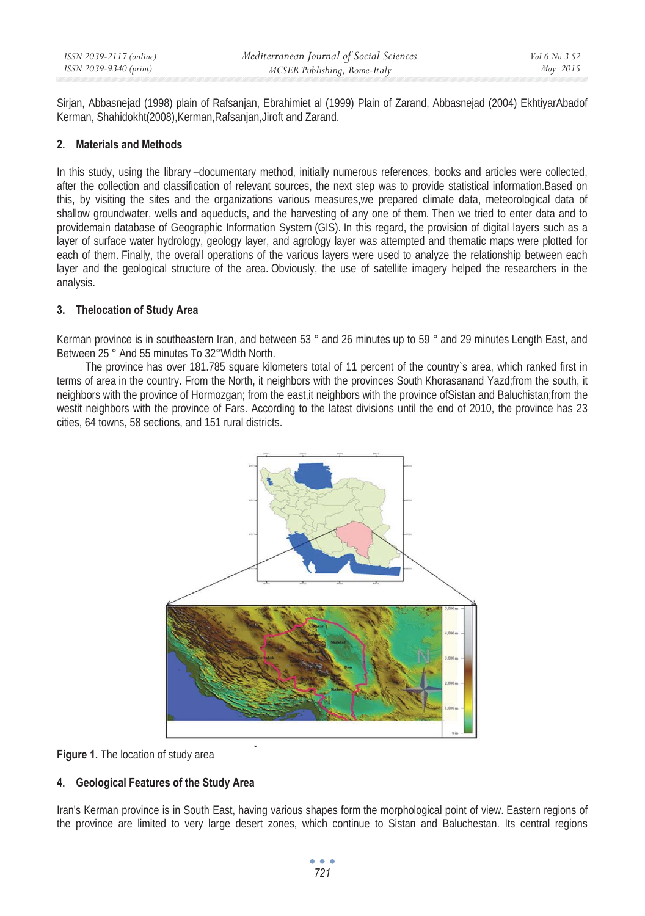Sirjan, Abbasnejad (1998) plain of Rafsanjan, Ebrahimiet al (1999) Plain of Zarand, Abbasnejad (2004) EkhtiyarAbadof Kerman, Shahidokht(2008),Kerman,Rafsanjan,Jiroft and Zarand.

### **2. Materials and Methods**

In this study, using the library –documentary method, initially numerous references, books and articles were collected, after the collection and classification of relevant sources, the next step was to provide statistical information.Based on this, by visiting the sites and the organizations various measures,we prepared climate data, meteorological data of shallow groundwater, wells and aqueducts, and the harvesting of any one of them. Then we tried to enter data and to providemain database of Geographic Information System (GIS). In this regard, the provision of digital layers such as a layer of surface water hydrology, geology layer, and agrology layer was attempted and thematic maps were plotted for each of them. Finally, the overall operations of the various layers were used to analyze the relationship between each layer and the geological structure of the area. Obviously, the use of satellite imagery helped the researchers in the analysis.

## **3. Thelocation of Study Area**

Kerman province is in southeastern Iran, and between 53 ° and 26 minutes up to 59 ° and 29 minutes Length East, and Between 25 ° And 55 minutes To 32°Width North.

The province has over 181.785 square kilometers total of 11 percent of the country's area, which ranked first in terms of area in the country. From the North, it neighbors with the provinces South Khorasanand Yazd;from the south, it neighbors with the province of Hormozgan; from the east,it neighbors with the province ofSistan and Baluchistan;from the westit neighbors with the province of Fars. According to the latest divisions until the end of 2010, the province has 23 cities, 64 towns, 58 sections, and 151 rural districts.





# **4. Geological Features of the Study Area**

Iran's Kerman province is in South East, having various shapes form the morphological point of view. Eastern regions of the province are limited to very large desert zones, which continue to Sistan and Baluchestan. Its central regions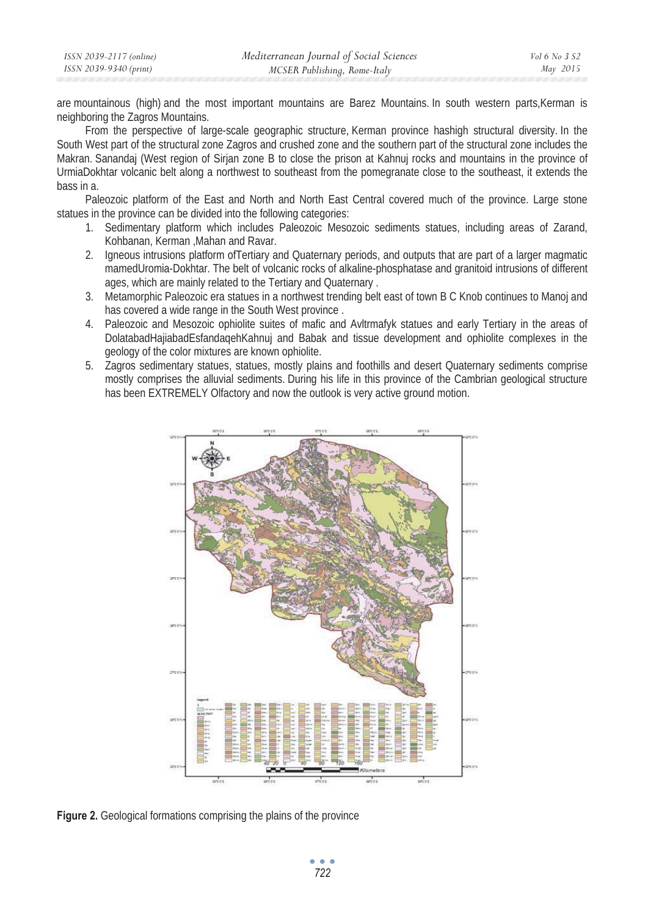| ISSN 2039-2117 (online) | Mediterranean Journal of Social Sciences | <i>Vol</i> 6 No 3 S2 |
|-------------------------|------------------------------------------|----------------------|
| ISSN 2039-9340 (print)  | MCSER Publishing, Rome-Italy             | May 2015             |

are mountainous (high) and the most important mountains are Barez Mountains. In south western parts,Kerman is neighboring the Zagros Mountains.

From the perspective of large-scale geographic structure, Kerman province hashigh structural diversity. In the South West part of the structural zone Zagros and crushed zone and the southern part of the structural zone includes the Makran. Sanandaj (West region of Sirjan zone B to close the prison at Kahnuj rocks and mountains in the province of UrmiaDokhtar volcanic belt along a northwest to southeast from the pomegranate close to the southeast, it extends the bass in a.

Paleozoic platform of the East and North and North East Central covered much of the province. Large stone statues in the province can be divided into the following categories:

- 1. Sedimentary platform which includes Paleozoic Mesozoic sediments statues, including areas of Zarand, Kohbanan, Kerman ,Mahan and Ravar.
- 2. Igneous intrusions platform ofTertiary and Quaternary periods, and outputs that are part of a larger magmatic mamedUromia-Dokhtar. The belt of volcanic rocks of alkaline-phosphatase and granitoid intrusions of different ages, which are mainly related to the Tertiary and Quaternary .
- 3. Metamorphic Paleozoic era statues in a northwest trending belt east of town B C Knob continues to Manoj and has covered a wide range in the South West province .
- 4. Paleozoic and Mesozoic ophiolite suites of mafic and Avltrmafyk statues and early Tertiary in the areas of DolatabadHajiabadEsfandaqehKahnuj and Babak and tissue development and ophiolite complexes in the geology of the color mixtures are known ophiolite.
- 5. Zagros sedimentary statues, statues, mostly plains and foothills and desert Quaternary sediments comprise mostly comprises the alluvial sediments. During his life in this province of the Cambrian geological structure has been EXTREMELY Olfactory and now the outlook is very active ground motion.



**Figure 2.** Geological formations comprising the plains of the province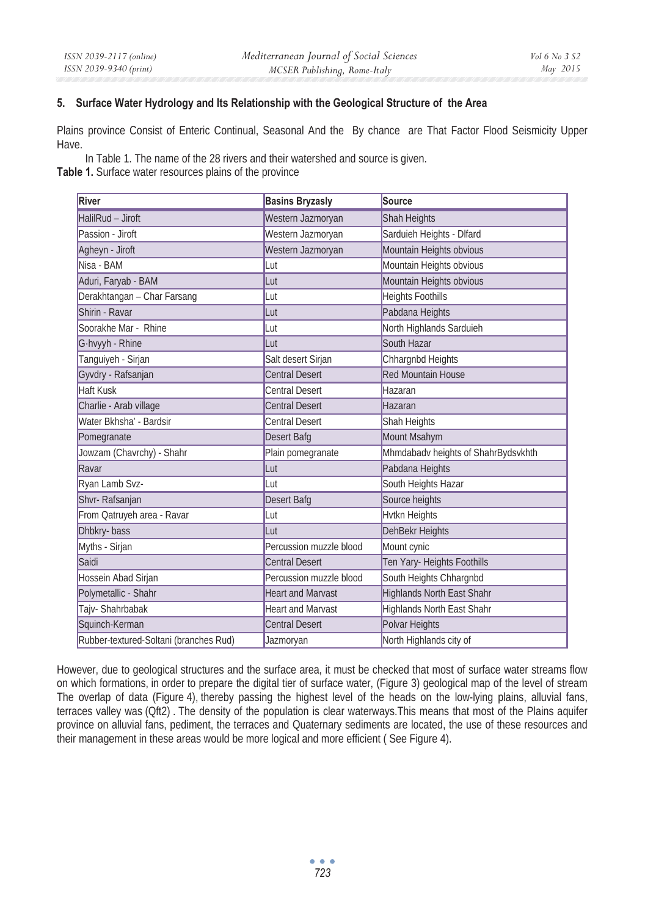## **5. Surface Water Hydrology and Its Relationship with the Geological Structure of the Area**

Plains province Consist of Enteric Continual, Seasonal And the By chance are That Factor Flood Seismicity Upper Have.

In Table 1. The name of the 28 rivers and their watershed and source is given.

**Table 1.** Surface water resources plains of the province

| River                                  | <b>Basins Bryzasly</b>   | <b>Source</b>                       |
|----------------------------------------|--------------------------|-------------------------------------|
| HalilRud - Jiroft                      | Western Jazmoryan        | Shah Heights                        |
| Passion - Jiroft                       | Western Jazmoryan        | Sarduieh Heights - Dlfard           |
| Agheyn - Jiroft                        | Western Jazmoryan        | Mountain Heights obvious            |
| Nisa - BAM                             | Lut                      | Mountain Heights obvious            |
| Aduri, Faryab - BAM                    | Lut                      | Mountain Heights obvious            |
| Derakhtangan - Char Farsang            | Lut                      | <b>Heights Foothills</b>            |
| Shirin - Ravar                         | Lut                      | Pabdana Heights                     |
| Soorakhe Mar - Rhine                   | Lut                      | North Highlands Sarduieh            |
| G-hvyyh - Rhine                        | Lut                      | South Hazar                         |
| Tanguiyeh - Sirjan                     | Salt desert Sirjan       | Chhargnbd Heights                   |
| Gyvdry - Rafsanjan                     | <b>Central Desert</b>    | <b>Red Mountain House</b>           |
| <b>Haft Kusk</b>                       | <b>Central Desert</b>    | Hazaran                             |
| Charlie - Arab village                 | <b>Central Desert</b>    | Hazaran                             |
| Water Bkhsha' - Bardsir                | <b>Central Desert</b>    | Shah Heights                        |
| Pomegranate                            | Desert Bafg              | Mount Msahym                        |
| Jowzam (Chavrchy) - Shahr              | Plain pomegranate        | Mhmdabadv heights of ShahrBydsvkhth |
| Ravar                                  | Lut                      | Pabdana Heights                     |
| Ryan Lamb Svz-                         | Lut                      | South Heights Hazar                 |
| Shvr-Rafsanjan                         | Desert Bafg              | Source heights                      |
| From Qatruyeh area - Ravar             | Lut                      | <b>Hytkn Heights</b>                |
| Dhbkry-bass                            | Lut                      | <b>DehBekr Heights</b>              |
| Myths - Sirjan                         | Percussion muzzle blood  | Mount cynic                         |
| Saidi                                  | <b>Central Desert</b>    | Ten Yary- Heights Foothills         |
| Hossein Abad Sirjan                    | Percussion muzzle blood  | South Heights Chhargnbd             |
| Polymetallic - Shahr                   | <b>Heart and Marvast</b> | <b>Highlands North East Shahr</b>   |
| Tajv-Shahrbabak                        | <b>Heart and Marvast</b> | <b>Highlands North East Shahr</b>   |
| Squinch-Kerman                         | <b>Central Desert</b>    | Polvar Heights                      |
| Rubber-textured-Soltani (branches Rud) | Jazmoryan                | North Highlands city of             |

However, due to geological structures and the surface area, it must be checked that most of surface water streams flow on which formations, in order to prepare the digital tier of surface water, (Figure 3) geological map of the level of stream The overlap of data (Figure 4), thereby passing the highest level of the heads on the low-lying plains, alluvial fans, terraces valley was (Qft2) . The density of the population is clear waterways.This means that most of the Plains aquifer province on alluvial fans, pediment, the terraces and Quaternary sediments are located, the use of these resources and their management in these areas would be more logical and more efficient ( See Figure 4).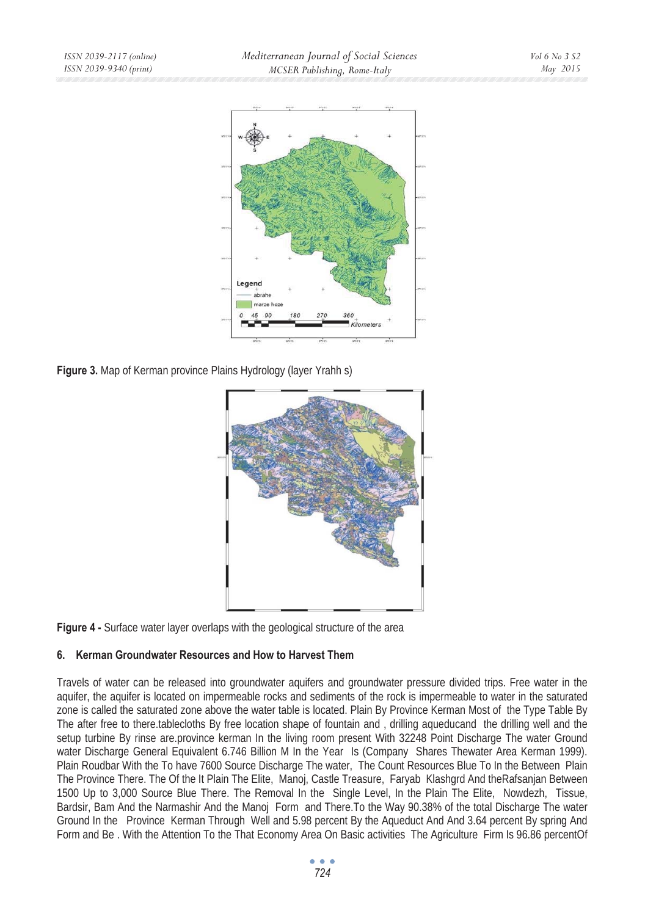

**Figure 3.** Map of Kerman province Plains Hydrology (layer Yrahh s)





# **6. Kerman Groundwater Resources and How to Harvest Them**

Travels of water can be released into groundwater aquifers and groundwater pressure divided trips. Free water in the aquifer, the aquifer is located on impermeable rocks and sediments of the rock is impermeable to water in the saturated zone is called the saturated zone above the water table is located. Plain By Province Kerman Most of the Type Table By The after free to there.tablecloths By free location shape of fountain and , drilling aqueducand the drilling well and the setup turbine By rinse are.province kerman In the living room present With 32248 Point Discharge The water Ground water Discharge General Equivalent 6.746 Billion M In the Year Is (Company Shares Thewater Area Kerman 1999). Plain Roudbar With the To have 7600 Source Discharge The water, The Count Resources Blue To In the Between Plain The Province There. The Of the It Plain The Elite, Manoj, Castle Treasure, Faryab Klashgrd And theRafsanjan Between 1500 Up to 3,000 Source Blue There. The Removal In the Single Level, In the Plain The Elite, Nowdezh, Tissue, Bardsir, Bam And the Narmashir And the Manoj Form and There.To the Way 90.38% of the total Discharge The water Ground In the Province Kerman Through Well and 5.98 percent By the Aqueduct And And 3.64 percent By spring And Form and Be . With the Attention To the That Economy Area On Basic activities The Agriculture Firm Is 96.86 percentOf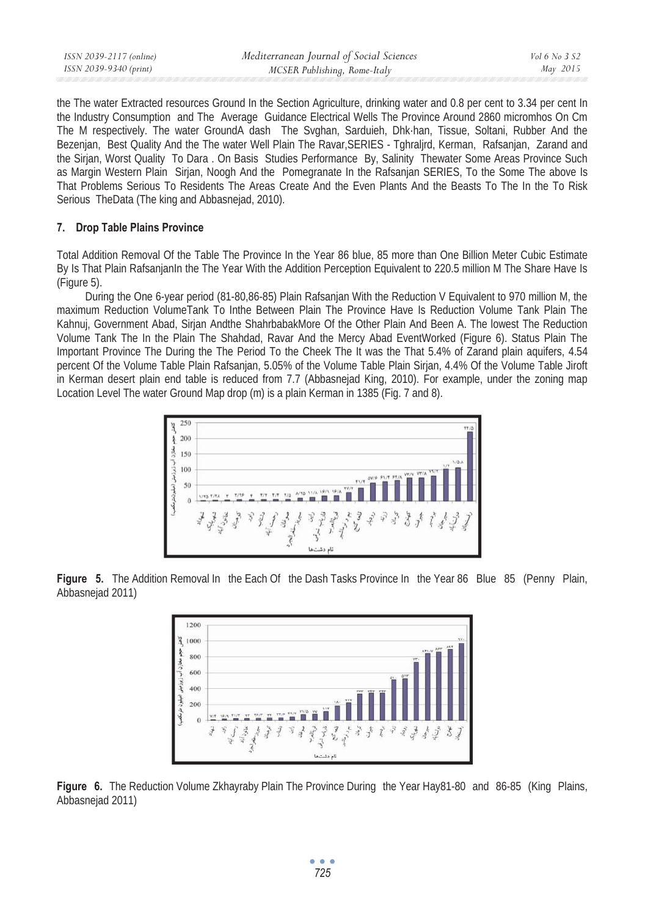| ISSN 2039-2117 (online) | Mediterranean Journal of Social Sciences | Vol 6 No 3 S2 |
|-------------------------|------------------------------------------|---------------|
| ISSN 2039-9340 (print)  | MCSER Publishing, Rome-Italy             | May 2015      |
|                         |                                          |               |

the The water Extracted resources Ground In the Section Agriculture, drinking water and 0.8 per cent to 3.34 per cent In the Industry Consumption and The Average Guidance Electrical Wells The Province Around 2860 micromhos On Cm The M respectively. The water GroundA dash The Svghan, Sarduieh, Dhk·han, Tissue, Soltani, Rubber And the Bezenjan, Best Quality And the The water Well Plain The Ravar,SERIES - Tghraljrd, Kerman, Rafsanjan, Zarand and the Sirjan, Worst Quality To Dara . On Basis Studies Performance By, Salinity Thewater Some Areas Province Such as Margin Western Plain Sirjan, Noogh And the Pomegranate In the Rafsanjan SERIES, To the Some The above Is That Problems Serious To Residents The Areas Create And the Even Plants And the Beasts To The In the To Risk Serious TheData (The king and Abbasnejad, 2010).

#### **7. Drop Table Plains Province**

Total Addition Removal Of the Table The Province In the Year 86 blue, 85 more than One Billion Meter Cubic Estimate By Is That Plain RafsanjanIn the The Year With the Addition Perception Equivalent to 220.5 million M The Share Have Is (Figure 5).

During the One 6-year period (81-80,86-85) Plain Rafsanjan With the Reduction V Equivalent to 970 million M, the maximum Reduction VolumeTank To Inthe Between Plain The Province Have Is Reduction Volume Tank Plain The Kahnuj, Government Abad, Sirjan Andthe ShahrbabakMore Of the Other Plain And Been A. The lowest The Reduction Volume Tank The In the Plain The Shahdad, Ravar And the Mercy Abad EventWorked (Figure 6). Status Plain The Important Province The During the The Period To the Cheek The It was the That 5.4% of Zarand plain aquifers, 4.54 percent Of the Volume Table Plain Rafsanjan, 5.05% of the Volume Table Plain Sirjan, 4.4% Of the Volume Table Jiroft in Kerman desert plain end table is reduced from 7.7 (Abbasnejad King, 2010). For example, under the zoning map Location Level The water Ground Map drop (m) is a plain Kerman in 1385 (Fig. 7 and 8).



**Figure 5.** The Addition Removal In the Each Of the Dash Tasks Province In the Year 86 Blue 85 (Penny Plain, Abbasnejad 2011)



**Figure 6.** The Reduction Volume Zkhayraby Plain The Province During the Year Hay81-80 and 86-85 (King Plains, Abbasnejad 2011)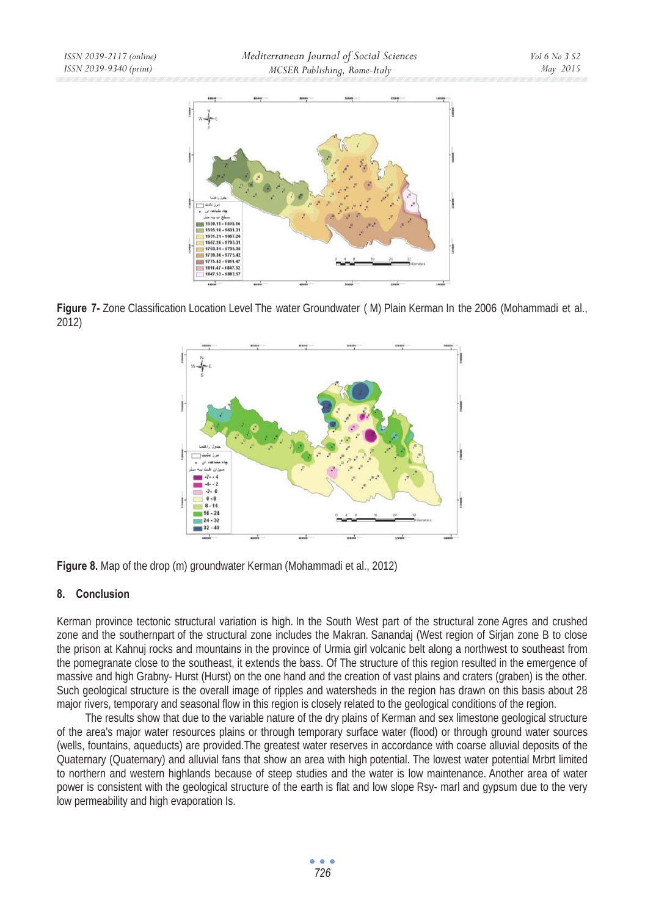

**Figure 7-** Zone Classification Location Level The water Groundwater ( M) Plain Kerman In the 2006 (Mohammadi et al., 2012)



**Figure 8.** Map of the drop (m) groundwater Kerman (Mohammadi et al., 2012)

### **8. Conclusion**

Kerman province tectonic structural variation is high. In the South West part of the structural zone Agres and crushed zone and the southernpart of the structural zone includes the Makran. Sanandaj (West region of Sirjan zone B to close the prison at Kahnuj rocks and mountains in the province of Urmia girl volcanic belt along a northwest to southeast from the pomegranate close to the southeast, it extends the bass. Of The structure of this region resulted in the emergence of massive and high Grabny- Hurst (Hurst) on the one hand and the creation of vast plains and craters (graben) is the other. Such geological structure is the overall image of ripples and watersheds in the region has drawn on this basis about 28 major rivers, temporary and seasonal flow in this region is closely related to the geological conditions of the region.

The results show that due to the variable nature of the dry plains of Kerman and sex limestone geological structure of the area's major water resources plains or through temporary surface water (flood) or through ground water sources (wells, fountains, aqueducts) are provided.The greatest water reserves in accordance with coarse alluvial deposits of the Quaternary (Quaternary) and alluvial fans that show an area with high potential. The lowest water potential Mrbrt limited to northern and western highlands because of steep studies and the water is low maintenance. Another area of water power is consistent with the geological structure of the earth is flat and low slope Rsy- marl and gypsum due to the very low permeability and high evaporation Is.